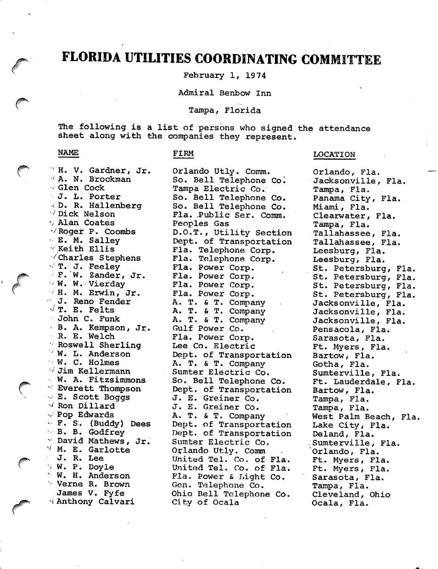# FLORIDA UTILITIES COORDINATING COMMITTEE

February 1, 1974

Admiral Benbow Inn

Tampa, Florida

The following is a list of persons who signed the attendance sheet along with the companies they represent.

### NAME

#### FIRM

■/ Dick Nelson V Charles Stephens  $\sqrt{T}$ . E. Felts H. V. Gardner, Jr. A. N. Brockman Glen Cock J. L. Porter D. R. Hallenberg Alan Coates  $\sqrt{R}$  Roger P. Coombs E. M. Salley Keith Ellis  $\sqrt{T}$ . J. Feeley F. "W. Zander, Jr.  $\vee$  W. W. Vierday H. M. Erwin, Jr. J. Reno Fender John C. Funk B. A. Kempson, Jr. R. E. Welch Roswell Sherling  $W$ . L. Anderson W. C. Holmes  $\vee$  Jim Kellermann W. A. Fitzsimmons  $\vee$  Everett Thompson E. Scott Boggs  $\vee$  Ron Dillard  $\vee$  Pop Edwards F. S. (Buddy) Dees B. B. Godfrey  $\vee$  David Mathews, Jr.  $\sqrt{M}$ . E. Garlotte J. R. Lee W. P. Doyle W, H. Anderson Verne R. Brown James V. Fyfe Anthony Calvari

Orlando Utly. Comm. So. Bell Telephone Co^ Tampa Electric Co. So. Bell Telephone Co. So. Bell Telephone Co. Fla. Public Ser. Comm. Peoples Gas D.O.T., Utility Section Dept. of Transportation Fla. Telephone Corp. Fla. Telephone Corp. Fla. Power Corp. Fla. Power Corp. Fla. Power Corp. Fla. Power Corp. A. T. & T. Company A. T. & T. Company A. T. & T. Company Gulf Power Co. Fla. Power Corp. Lee Co. Electric Dept. of Transportation A. T. & T. Company Sumter Electric Co. So. Bell Telephone Co. Dept. of Transportation J. E. Greiner Co. J. E. Greiner Co. A. T. & T. Company Dept. of Transportation Dept. of Transportation Sumter Electric Co. Orlando Utly. Comm United Tel. Co. of Fla. United Tel. Co. of Fla. Fla. Power & Light Co. Gen. Telephone Co. Ohio Bell Telephone Co. City of Ocala

LOCATION

Orlando, Fla. Jacksonville, Fla. Tampa, Fla. Panama City, Fla. Miami, Fla. Clearwater, Fla. Tampa, Fla. Tallahassee, Fla. Tallahassee, Fla. Leesburg, Fla. Leesburg, Fla. St. Petersburg, Fla. St. Petersburg, Fla. St. Petersburg, Fla. St. Petersburg, Fla. Jacksonville, Fla. Jacksonville, Fla. Jacksonville, Fla. Pensacola, Fla. Sarasota, Fla. Ft. Myers, Fla. Bartow, Fla. Gotha, Fla. Sumterville, Fla. Ft. Lauderdale, Fla. Bartow, Fla. Tampa, Fla. Tampa, Fla. West Palm Beach, Fla. Lake City, Fla. Deland, Fla. Sumterville, Fla. Orlando, Fla. Ft. Myers, Fla. Ft. Myers, Fla. Sarasota, Fla. Tampa, Fla. Cleveland, Ohio Ocala, Fla.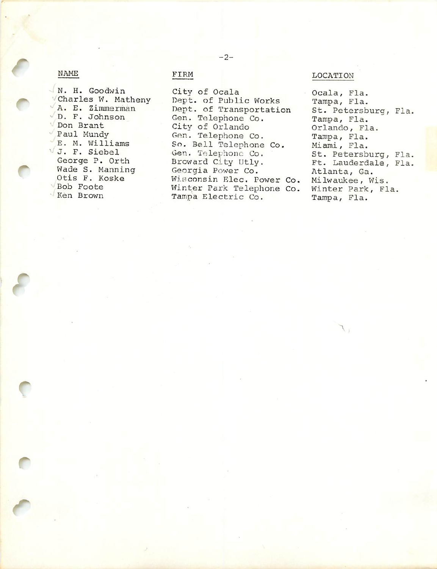## NAME

f

N. H, Goodwin VCharles W. Matheny A. E. Zimmerman D. F. Johnson Don Brant Paul Mundy E. M. Williams  $\sqrt{J}$ . F. Siebel George P. Orth Wade S. Manning Otis F. Koske Bob Foote Ken Brown

### FIRM

City of Ocala Dept. of Public Works Dept. of Transportation Gen. Telephone Co. City of Orlando Gen. Telephone Co. So. Bell Telephone Co. Gen. Telephone Co. Broward City Utly. Georgia Power Co. Wisconsin Elec. Power Co. Winter Park Telephone Co, Tampa Electric Co.

## LOCATION

Ocala, Fla. Tampa, Fla. St. Petersburg, Fla. Tampa, Fla. Orlando, Fla. Tampa, Fla. Miami, Fla. St. Petersburg, Fla. Ft. Lauderdale, Fla. Atlanta, Ga. Milwaukee, Wis. Winter Park, Fla. Tampa, Fla.

A

#### -2-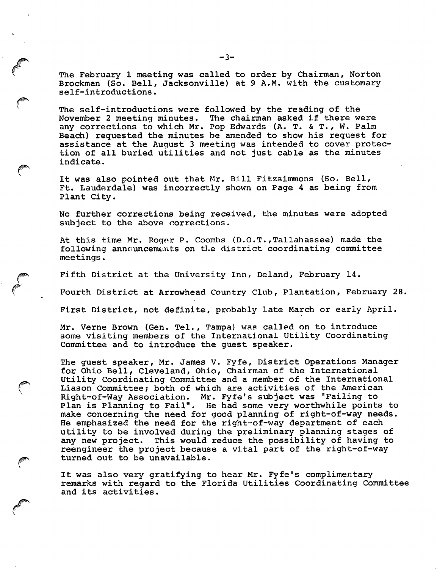The February 1 meeting was called to order by Chairman, Norton Brockman (So. Bell, Jacksonville) at 9 A.M. with the customary self-introductions.

The self-introductions were followed by the reading of the November 2 meeting minutes. The chairman asked if there we The chairman asked if there were any corrections to which Mr. Pop Edwards (A. T. & T., W. Palm Beach) requested the minutes be amended to show his request for assistance at the August 3 meeting was intended to cover protec tion of all buried utilities and not just cable as the minutes indicate.

It was also pointed out that Mr. Bill Fitzsimmons (So. Bell, Ft. Lauderdale) was incorrectly shown on Page 4 as being from Plant City.

No further corrections being received, the minutes were adopted subject to the above corrections.

At this time Mr. Roger P. Coombs (D.O.T.,Tallahassee) made the following announcements on the district coordinating committee meetings.

Fifth District at the University Inn, Deland, February 14.

Fourth District at Arrowhead Country Club, Plantation, February 28.

First District, not definite, probably late March or early April.

Mr. Verne Brown (Gen. Tel., Tampa) was called on to introduce some visiting members of the International Utility Coordinating Committee and to introduce the guest speaker.

The guest speaker, Mr. James V. Fyfe, District Operations Manager for Ohio Bell, Cleveland, Ohio, Chairman of the International Utility Coordinating Committee and a member of the International Liason Committee; both of which are activities of the American Right-of-Way Association. Mr. Fyfe's subject was "Failing to Plan is Planning to Fail". He had some very worthwhile points to make concerning the need for good planning of right-of-way needs. He emphasized the need for the right-of-way department of each utility to be involved during the preliminary planning stages of any new project. This would reduce the possibility of having to reengineer the project because a vital part of the right-of-way turned out to be unavailable.

It was also very gratifying to hear Mr. Fyfe's complimentary remarks with regard to the Florida Utilities Coordinating Committee and its activities.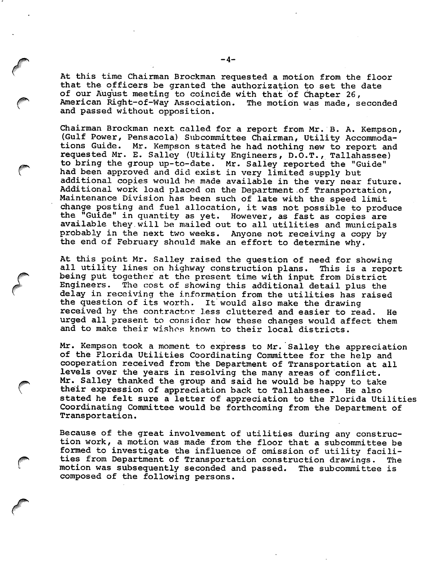At this time Chairman Brockman requested a motion from the floor that the officers be granted the authorization to set the date of our August meeting to coincide with that of Chapter 26, American Right-of-Way Association. The motion was made, seconded and passed without opposition.

Chairman Brockman next called for a report from Mr. B. A. Kempson, (Gulf Power, Pensacola) Subcommittee Chairman, Utility Accommoda tions Guide. Mr. Kempson stated he had nothing new to report and requested Mr. E. Salley (Utility Engineers, D.O.T., Tallahassee) to bring the group up-to-date. Mr. Salley reported the "Guide" had been approved and did exist in very limited supply but additional copies would be made available in the very near future. Additional work load placed on the Department .of Transportation, Maintenance Division has been such of late with the speed limit change posting and fuel allocation, it was not possible to produce the "Guide" in quantity as yet. However, as fast as copies are available they.will be mailed out to all utilities and municipals probably in the next two weeks. Anyone not receiving a copy by the end of February should make an effort to determine why.

At this point Mr. Salley raised the question of need for showing all utility lines on highway construction plans. This is a report being put together at the present time with input from District Engineers. The cost of showing this additional detail plus the delay in receiving the information from the utilities has raised the question of its worth. It would also make the drawing received by the contractor less cluttered and easier to read. He urged all present to consider how these changes would affect them and to make their wishes known to their local districts.

Mr. Kempson took a moment to express to Mr. Salley the appreciation of the Florida Utilities Coordinating Committee for the help and cooperation received from the Department of Transportation at all levels over the years in resolving the many areas of conflict. Mr. Salley thanked the group and said he would be happy to take their expression of appreciation back to Tallahassee. He also stated he felt sure a letter of appreciation to the Florida Utilities Coordinating Committee would be forthcoming from the Department of Transportation.

Because of the great involvement of utilities during any construc tion work, a motion was made from the floor that a subcommittee be formed to investigate the influence of omission of utility facili ties from Department of Transportation construction drawings. The motion was subsequently seconded and passed. The subcommittee is composed of the following persons.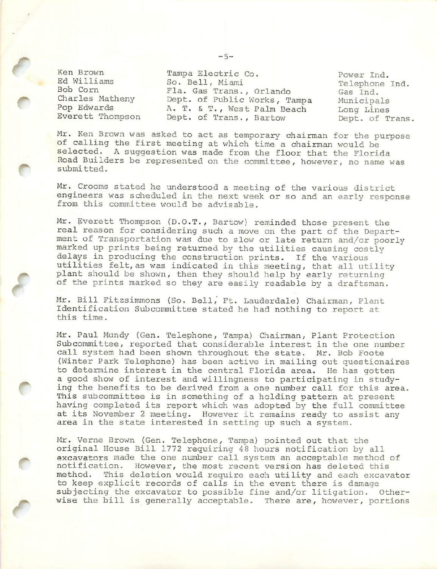r

f

r

Ken Brown Tampa Electric Co. Power Ind.<br>Ed Williams So. Bell. Miami Borne Telephone Ed Williams So. Bell, Miami Telephone Ind.<br>Bob Corn Fla. Gas Trans.. Orlando Gas Ind Bob Corn Fla. Gas Trans., Orlando Gas Ind.<br>Charles Matheny Dept. of Public Works. Tampa Municipa Dept. of Public Works, Tampa Municipals Pop Edwards A. T. & T., West Palm Beach Long Lines<br>Everett Thompson Dept. of Trans., Bartow Dept. of T Dept. of Trans., Bartow Dept. of Trans.

Mr. Ken Brown was asked to act as temporary chairman for the purpose of calling the first meeting at which time a chairman would be selected. A suggestion was made from the floor that the Florida Road Builders be represented on the committee, however, no name was submitted.

Mr. Crooms stated he understood a meeting of the various district engineers was scheduled in the next week or so and an early response from this committee would be advisable.

Mr. Everett Thompson (D.O.T., Bartow) reminded those present the real reason for considering such a move on the part of the Depart ment of Transportation was due to slow or late return and/or poorly marked up prints being returned by the utilities causing costly delays in producing the construction prints. If the various utilities felt,as was indicated in this meeting, that all utility plant should be shown, then they should help by early returning of the prints marked so they are easily readable by a draftsman.

Mr. Bill Fitzsimmons (So. Bell, Ft. Lauderdale) Chairman, Plant Identification Subcommittee stated he had nothing to report at this time.

Mr. Paul Mundy (Gen. Telephone, Tampa) Chairman, Plant Protection Subcommittee, reported that considerable interest in the one number call system had been shown throughout the state. Mr. Bob Foote (Winter Park Telephone) has been active in mailing out questionaires to determine interest in the central Florida area. He has gotten a good show of interest and willingness to participating in study ing the benefits to be derived from a one number call for this area. This subcommittee is in something of a holding pattern at present having completed its report which was adopted by the full committee at its November 2 meeting. However it remains ready to assist any area in the state interested in setting up such a system.

Mr. Verne Brown (Gen. Telephone, Tampa) pointed out that the original House Bill 1772 requiring 48 hours notification by all excavators made the one number call system an acceptable method of notification. However, the most recent version has deleted this method. This deletion would require each utility and each excavator to keep explicit records of calls in the event there is damage subjecting the excavator to possible fine and/or litigation. Other wise the bill is generally acceptable. There are, however, portions

 $-5-$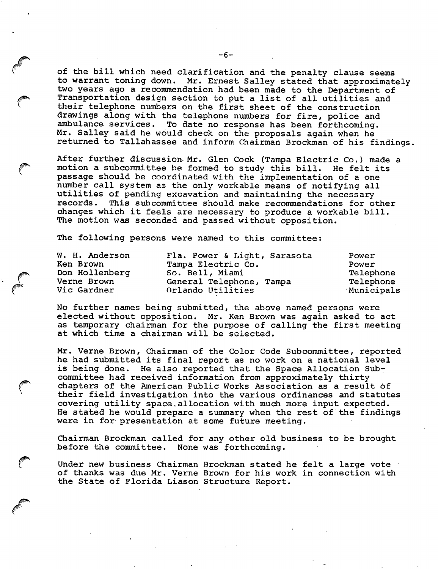of the bill which need clarification and the penalty clause seems to warrant toning down. Mr. Ernest Salley stated that approximately two years ago a recommendation had been made to the Department of Transportation design section to put a list of all utilities and their telephone numbers on the first sheet of the construction drawings along with the telephone numbers for fire, police and ambulance services. To date no response has been forthcoming. Mr. Salley said he would check on the proposals again when he returned to Tallahassee and inform Chairman Brockman of his findings.

After further discussion. Mr. Glen Cock (Tampa Electric Co.) made a motion a subcommittee be formed to study this bill. He felt its passage should be coordinated with the implementation of a one number call system as the only workable means of notifying all utilities of pending excavation and maintaining the necessary records. This subcommittee should make recommendations for other changes which it feels are necessary to produce a workable bill. The motion was seconded and passed without opposition.

The following persons were named to this committee:

| W. H. Anderson | Fla. Power & Light, Sarasota | Power      |
|----------------|------------------------------|------------|
| Ken Brown      | Tampa Electric Co.           | Power      |
| Don Hollenberg | So. Bell, Miami              | Telephone  |
| Verne Brown    | General Telephone, Tampa     | Telephone  |
| Vic Gardner    | Orlando Utilities            | Municipals |

No further names being submitted, the above named persons were elected without opposition. Mr. Ken Brown was again asked to act as temporary chairman for the purpose of calling the first meeting at which time a chairman will be selected.

Mr. Verne Brown, Chairman of the Color Code Subcommittee, reported he had submitted its final report as no work on a national level is being done. He also reported that the Space Allocation Sub committee had received information from approximately thirty chapters of the American Public Works Association as a result Of their field investigation into the various ordinances and statutes covering utility space.allocation with much more input expected. He stated he would prepare a summary when the rest of the findings were in for presentation at some future meeting.

Chairman Brockman called for any other old business to be brought before the committee. None was forthcoming.

Under new business Chairman Brockman stated he felt a large vote of thanks was due Mr. Verne Brown for his work in connection with the State of Florida Liason Structure Report.